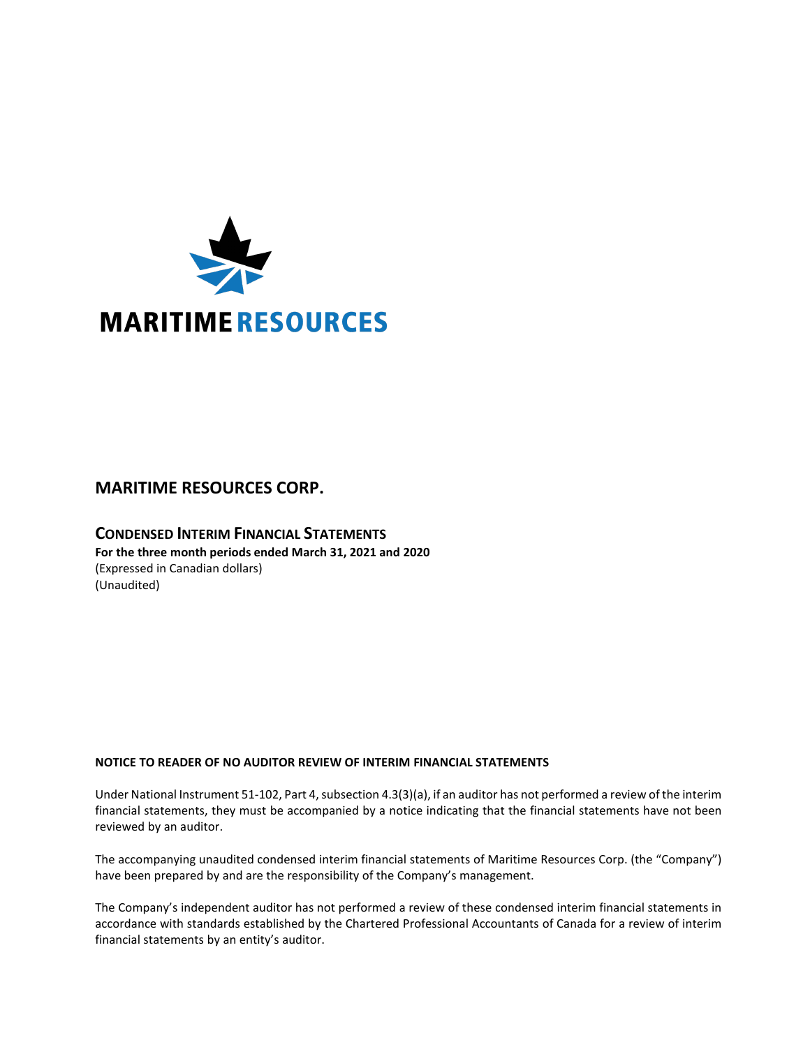

# **MARITIME RESOURCES CORP.**

# **CONDENSED INTERIM FINANCIAL STATEMENTS For the three month periods ended March 31, 2021 and 2020** (Expressed in Canadian dollars) (Unaudited)

## **NOTICE TO READER OF NO AUDITOR REVIEW OF INTERIM FINANCIAL STATEMENTS**

Under National Instrument 51-102, Part 4, subsection 4.3(3)(a), if an auditor has not performed a review of the interim financial statements, they must be accompanied by a notice indicating that the financial statements have not been reviewed by an auditor.

The accompanying unaudited condensed interim financial statements of Maritime Resources Corp. (the "Company") have been prepared by and are the responsibility of the Company's management.

The Company's independent auditor has not performed a review of these condensed interim financial statements in accordance with standards established by the Chartered Professional Accountants of Canada for a review of interim financial statements by an entity's auditor.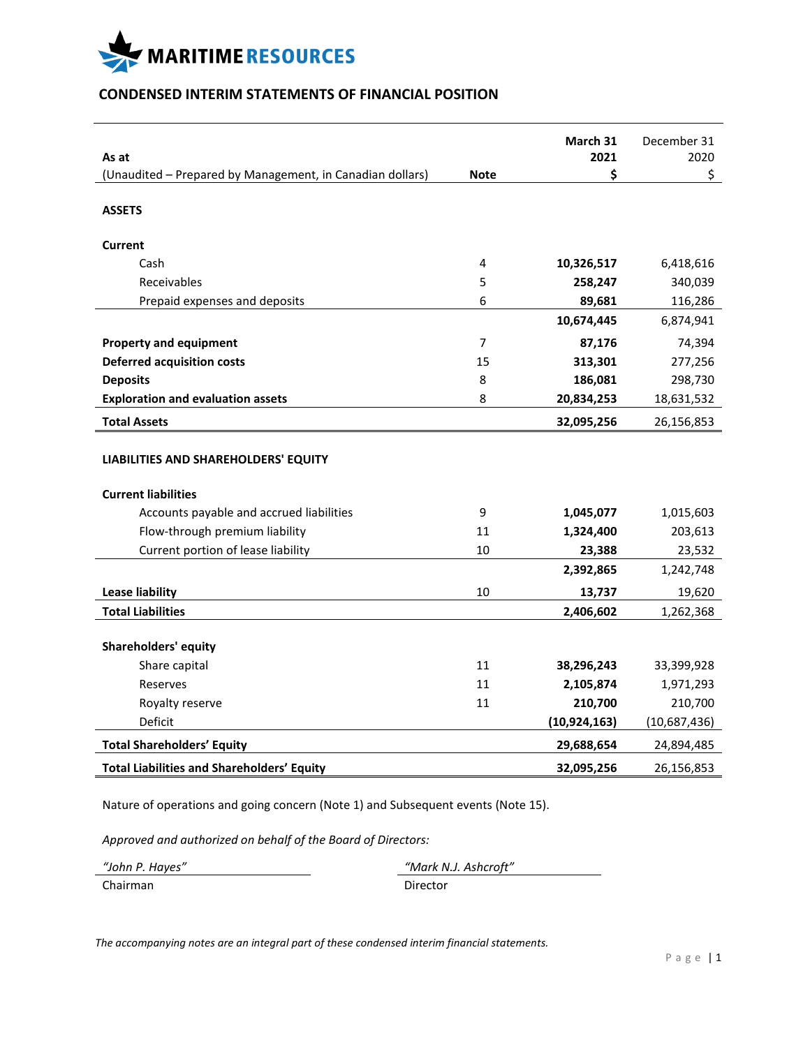

# **CONDENSED INTERIM STATEMENTS OF FINANCIAL POSITION**

|                                                                    |                | March 31       | December 31  |
|--------------------------------------------------------------------|----------------|----------------|--------------|
| As at<br>(Unaudited - Prepared by Management, in Canadian dollars) | <b>Note</b>    | 2021<br>\$     | 2020<br>\$   |
|                                                                    |                |                |              |
| <b>ASSETS</b>                                                      |                |                |              |
| <b>Current</b>                                                     |                |                |              |
| Cash                                                               | 4              | 10,326,517     | 6,418,616    |
| Receivables                                                        | 5              | 258,247        | 340,039      |
| Prepaid expenses and deposits                                      | 6              | 89,681         | 116,286      |
|                                                                    |                | 10,674,445     | 6,874,941    |
| <b>Property and equipment</b>                                      | $\overline{7}$ | 87,176         | 74,394       |
| <b>Deferred acquisition costs</b>                                  | 15             | 313,301        | 277,256      |
| <b>Deposits</b>                                                    | 8              | 186,081        | 298,730      |
| <b>Exploration and evaluation assets</b>                           | 8              | 20,834,253     | 18,631,532   |
| <b>Total Assets</b>                                                |                | 32,095,256     | 26,156,853   |
| LIABILITIES AND SHAREHOLDERS' EQUITY<br><b>Current liabilities</b> |                |                |              |
| Accounts payable and accrued liabilities                           | 9              | 1,045,077      | 1,015,603    |
| Flow-through premium liability                                     | 11             | 1,324,400      | 203,613      |
| Current portion of lease liability                                 | 10             | 23,388         | 23,532       |
|                                                                    |                | 2,392,865      | 1,242,748    |
| <b>Lease liability</b>                                             | 10             | 13,737         | 19,620       |
| <b>Total Liabilities</b>                                           |                | 2,406,602      | 1,262,368    |
| <b>Shareholders' equity</b>                                        |                |                |              |
| Share capital                                                      | 11             | 38,296,243     | 33,399,928   |
| Reserves                                                           | 11             | 2,105,874      | 1,971,293    |
| Royalty reserve                                                    | 11             | 210,700        | 210,700      |
| Deficit                                                            |                | (10, 924, 163) | (10,687,436) |
| <b>Total Shareholders' Equity</b>                                  |                | 29,688,654     | 24,894,485   |
| <b>Total Liabilities and Shareholders' Equity</b>                  |                | 32,095,256     | 26,156,853   |

Nature of operations and going concern (Note 1) and Subsequent events (Note 15).

*Approved and authorized on behalf of the Board of Directors:*

| "John P. Hayes" | "Mark N.J. Ashcroft" |
|-----------------|----------------------|
| Chairman        | Director             |

*The accompanying notes are an integral part of these condensed interim financial statements.*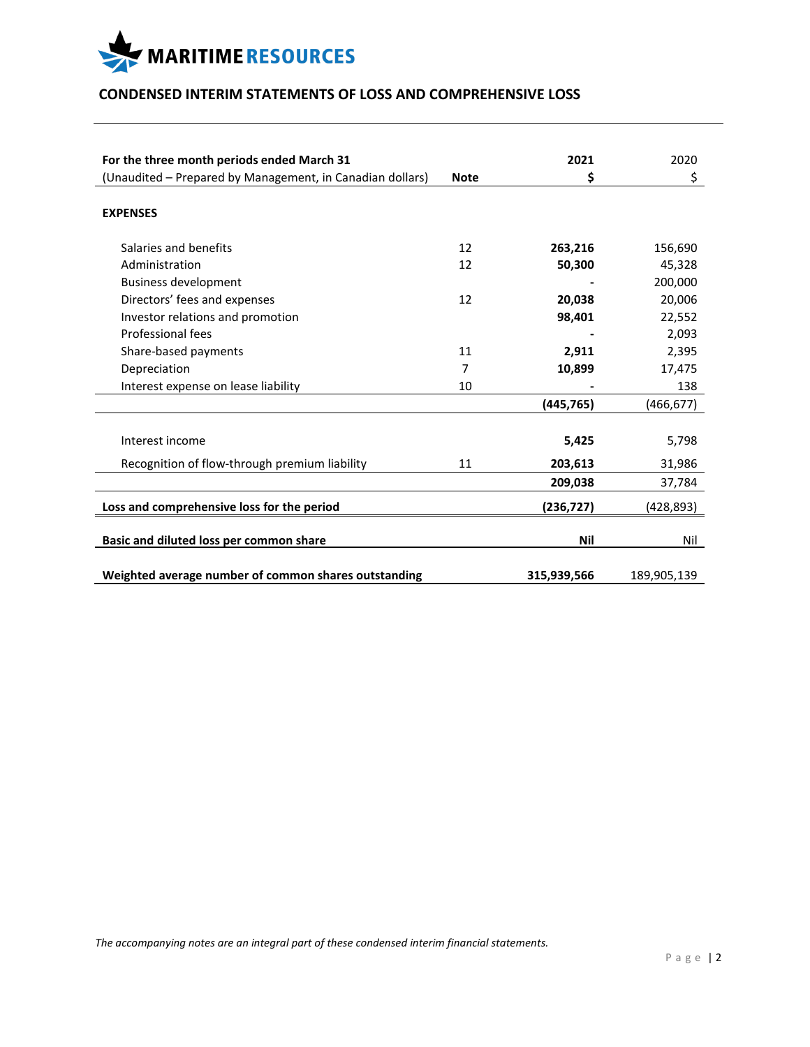

# **CONDENSED INTERIM STATEMENTS OF LOSS AND COMPREHENSIVE LOSS**

| For the three month periods ended March 31                |             | 2021        | 2020        |
|-----------------------------------------------------------|-------------|-------------|-------------|
| (Unaudited - Prepared by Management, in Canadian dollars) | <b>Note</b> | \$          | \$          |
| <b>EXPENSES</b>                                           |             |             |             |
| Salaries and benefits                                     | 12          | 263,216     | 156,690     |
| Administration                                            | 12          | 50,300      | 45,328      |
| <b>Business development</b>                               |             |             | 200,000     |
| Directors' fees and expenses                              | 12          | 20,038      | 20,006      |
| Investor relations and promotion                          |             | 98,401      | 22,552      |
| Professional fees                                         |             |             | 2,093       |
| Share-based payments                                      | 11          | 2,911       | 2,395       |
| Depreciation                                              | 7           | 10,899      | 17,475      |
| Interest expense on lease liability                       | 10          |             | 138         |
|                                                           |             | (445, 765)  | (466, 677)  |
| Interest income                                           |             | 5,425       | 5,798       |
| Recognition of flow-through premium liability             | 11          | 203,613     | 31,986      |
|                                                           |             | 209,038     | 37,784      |
| Loss and comprehensive loss for the period                |             | (236, 727)  | (428, 893)  |
| Basic and diluted loss per common share                   |             | Nil         | Nil         |
| Weighted average number of common shares outstanding      |             | 315,939,566 | 189,905,139 |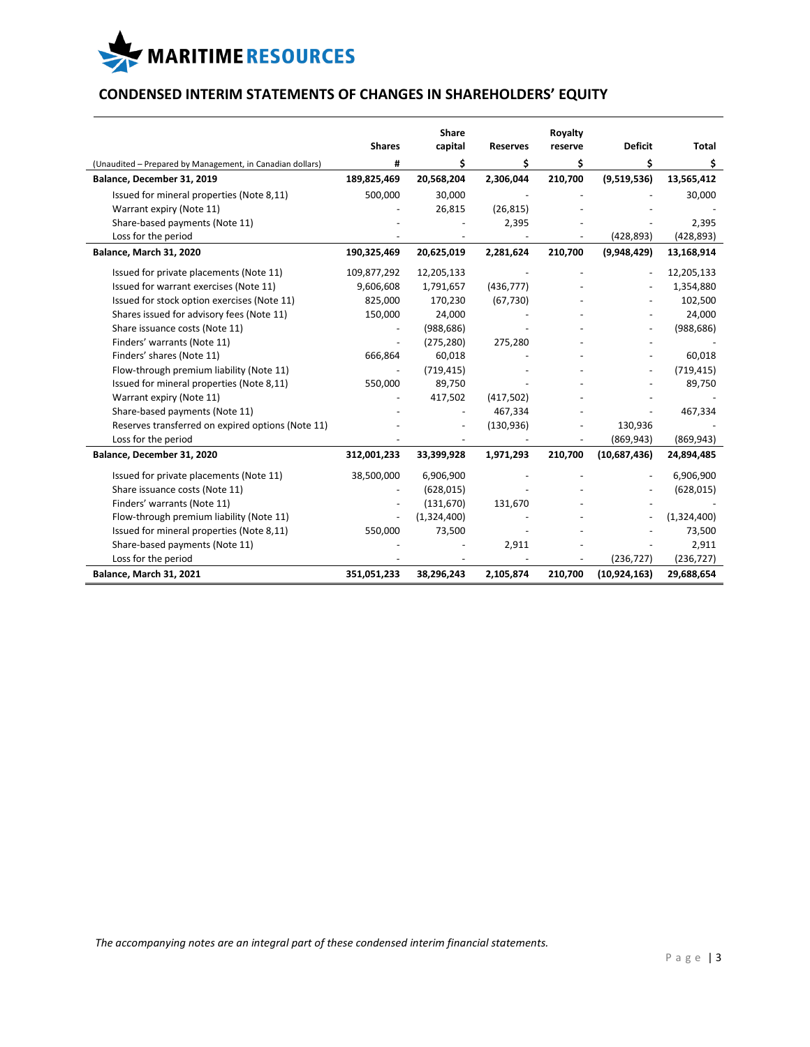

# **CONDENSED INTERIM STATEMENTS OF CHANGES IN SHAREHOLDERS' EQUITY**

|                                                           |                          | Share       |                 | Royalty |                          |              |
|-----------------------------------------------------------|--------------------------|-------------|-----------------|---------|--------------------------|--------------|
|                                                           | <b>Shares</b>            | capital     | <b>Reserves</b> | reserve | <b>Deficit</b>           | <b>Total</b> |
| (Unaudited - Prepared by Management, in Canadian dollars) | #                        | \$          | \$              | \$      | \$                       | \$           |
| Balance, December 31, 2019                                | 189,825,469              | 20,568,204  | 2,306,044       | 210,700 | (9,519,536)              | 13,565,412   |
| Issued for mineral properties (Note 8,11)                 | 500,000                  | 30,000      |                 |         |                          | 30,000       |
| Warrant expiry (Note 11)                                  |                          | 26,815      | (26, 815)       |         |                          |              |
| Share-based payments (Note 11)                            |                          |             | 2,395           |         |                          | 2,395        |
| Loss for the period                                       |                          |             |                 |         | (428, 893)               | (428, 893)   |
| Balance, March 31, 2020                                   | 190,325,469              | 20,625,019  | 2,281,624       | 210,700 | (9,948,429)              | 13,168,914   |
| Issued for private placements (Note 11)                   | 109,877,292              | 12,205,133  |                 |         |                          | 12,205,133   |
| Issued for warrant exercises (Note 11)                    | 9,606,608                | 1,791,657   | (436, 777)      |         |                          | 1,354,880    |
| Issued for stock option exercises (Note 11)               | 825,000                  | 170,230     | (67, 730)       |         |                          | 102,500      |
| Shares issued for advisory fees (Note 11)                 | 150,000                  | 24,000      |                 |         |                          | 24,000       |
| Share issuance costs (Note 11)                            |                          | (988, 686)  |                 |         |                          | (988, 686)   |
| Finders' warrants (Note 11)                               |                          | (275, 280)  | 275,280         |         |                          |              |
| Finders' shares (Note 11)                                 | 666,864                  | 60,018      |                 |         |                          | 60,018       |
| Flow-through premium liability (Note 11)                  | $\overline{\phantom{a}}$ | (719, 415)  |                 |         | $\overline{\phantom{a}}$ | (719, 415)   |
| Issued for mineral properties (Note 8,11)                 | 550,000                  | 89,750      |                 |         |                          | 89,750       |
| Warrant expiry (Note 11)                                  |                          | 417,502     | (417,502)       |         |                          |              |
| Share-based payments (Note 11)                            |                          |             | 467,334         |         |                          | 467,334      |
| Reserves transferred on expired options (Note 11)         |                          |             | (130, 936)      |         | 130,936                  |              |
| Loss for the period                                       |                          |             |                 |         | (869, 943)               | (869, 943)   |
| Balance, December 31, 2020                                | 312,001,233              | 33,399,928  | 1,971,293       | 210,700 | (10,687,436)             | 24,894,485   |
| Issued for private placements (Note 11)                   | 38,500,000               | 6,906,900   |                 |         |                          | 6,906,900    |
| Share issuance costs (Note 11)                            |                          | (628, 015)  |                 |         |                          | (628, 015)   |
| Finders' warrants (Note 11)                               |                          | (131, 670)  | 131,670         |         |                          |              |
| Flow-through premium liability (Note 11)                  |                          | (1,324,400) |                 |         |                          | (1,324,400)  |
| Issued for mineral properties (Note 8,11)                 | 550,000                  | 73,500      |                 |         |                          | 73,500       |
| Share-based payments (Note 11)                            |                          |             | 2,911           |         |                          | 2,911        |
| Loss for the period                                       |                          |             |                 |         | (236, 727)               | (236, 727)   |
| <b>Balance, March 31, 2021</b>                            | 351,051,233              | 38,296,243  | 2,105,874       | 210,700 | (10, 924, 163)           | 29,688,654   |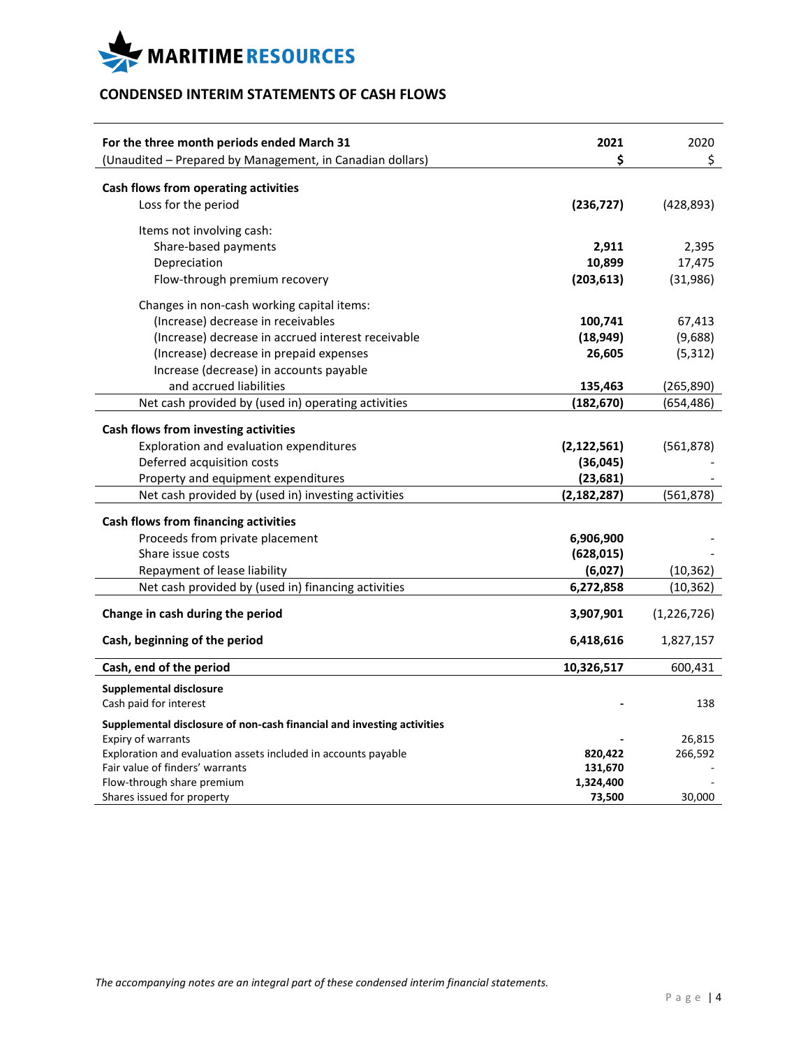

# **CONDENSED INTERIM STATEMENTS OF CASH FLOWS**

| For the three month periods ended March 31<br>(Unaudited - Prepared by Management, in Canadian dollars) | 2021<br>\$    | 2020<br>\$    |
|---------------------------------------------------------------------------------------------------------|---------------|---------------|
|                                                                                                         |               |               |
| Cash flows from operating activities                                                                    |               |               |
| Loss for the period                                                                                     | (236, 727)    | (428, 893)    |
| Items not involving cash:                                                                               |               |               |
| Share-based payments                                                                                    | 2,911         | 2,395         |
| Depreciation                                                                                            | 10,899        | 17,475        |
| Flow-through premium recovery                                                                           | (203, 613)    | (31,986)      |
| Changes in non-cash working capital items:                                                              |               |               |
| (Increase) decrease in receivables                                                                      | 100,741       | 67,413        |
| (Increase) decrease in accrued interest receivable                                                      | (18, 949)     | (9,688)       |
| (Increase) decrease in prepaid expenses                                                                 | 26,605        | (5, 312)      |
| Increase (decrease) in accounts payable                                                                 |               |               |
| and accrued liabilities                                                                                 | 135,463       | (265, 890)    |
| Net cash provided by (used in) operating activities                                                     | (182, 670)    | (654,486)     |
| Cash flows from investing activities                                                                    |               |               |
| Exploration and evaluation expenditures                                                                 | (2, 122, 561) | (561, 878)    |
| Deferred acquisition costs                                                                              | (36,045)      |               |
| Property and equipment expenditures                                                                     | (23, 681)     |               |
| Net cash provided by (used in) investing activities                                                     | (2, 182, 287) | (561, 878)    |
|                                                                                                         |               |               |
| Cash flows from financing activities                                                                    |               |               |
| Proceeds from private placement                                                                         | 6,906,900     |               |
| Share issue costs                                                                                       | (628, 015)    |               |
| Repayment of lease liability                                                                            | (6,027)       | (10, 362)     |
| Net cash provided by (used in) financing activities                                                     | 6,272,858     | (10, 362)     |
| Change in cash during the period                                                                        | 3,907,901     | (1, 226, 726) |
| Cash, beginning of the period                                                                           | 6,418,616     | 1,827,157     |
| Cash, end of the period                                                                                 | 10,326,517    | 600,431       |
| <b>Supplemental disclosure</b>                                                                          |               |               |
| Cash paid for interest                                                                                  |               | 138           |
| Supplemental disclosure of non-cash financial and investing activities                                  |               |               |
| <b>Expiry of warrants</b>                                                                               |               | 26,815        |
| Exploration and evaluation assets included in accounts payable                                          | 820,422       | 266,592       |
| Fair value of finders' warrants                                                                         | 131,670       |               |
| Flow-through share premium                                                                              | 1,324,400     |               |
| Shares issued for property                                                                              | 73,500        | 30,000        |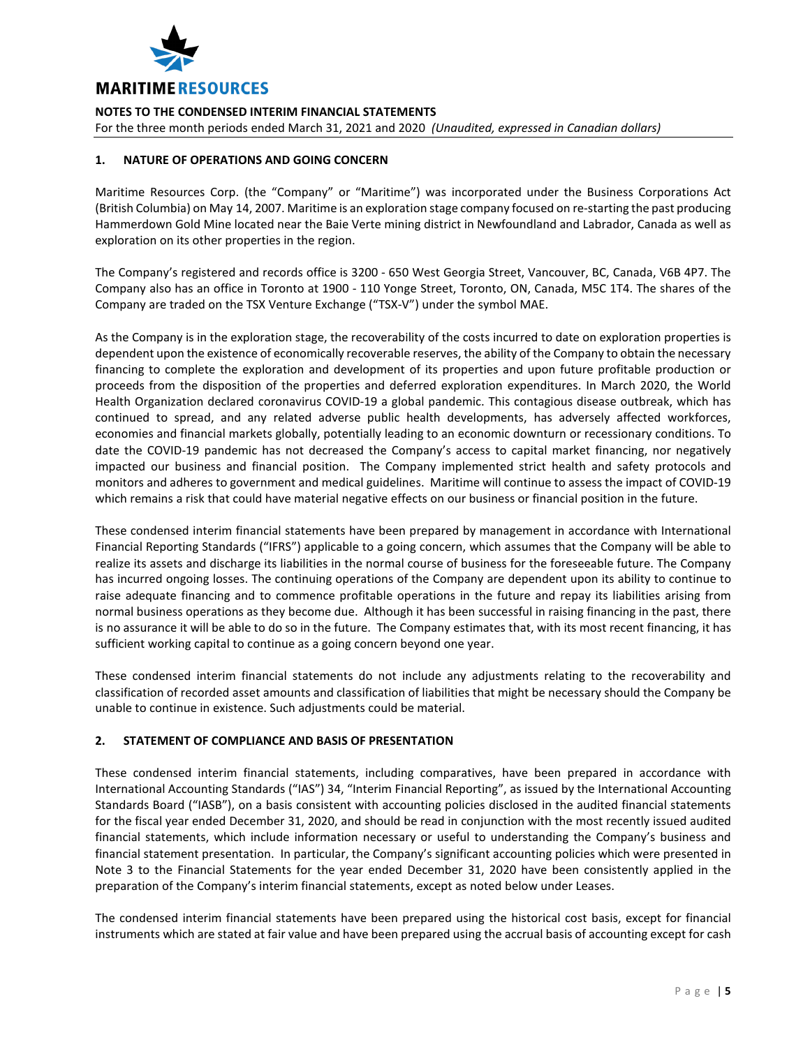

For the three month periods ended March 31, 2021 and 2020 *(Unaudited, expressed in Canadian dollars)*

### **1. NATURE OF OPERATIONS AND GOING CONCERN**

Maritime Resources Corp. (the "Company" or "Maritime") was incorporated under the Business Corporations Act (British Columbia) on May 14, 2007. Maritime is an exploration stage company focused on re-starting the past producing Hammerdown Gold Mine located near the Baie Verte mining district in Newfoundland and Labrador, Canada as well as exploration on its other properties in the region.

The Company's registered and records office is 3200 - 650 West Georgia Street, Vancouver, BC, Canada, V6B 4P7. The Company also has an office in Toronto at 1900 - 110 Yonge Street, Toronto, ON, Canada, M5C 1T4. The shares of the Company are traded on the TSX Venture Exchange ("TSX-V") under the symbol MAE.

As the Company is in the exploration stage, the recoverability of the costs incurred to date on exploration properties is dependent upon the existence of economically recoverable reserves, the ability of the Company to obtain the necessary financing to complete the exploration and development of its properties and upon future profitable production or proceeds from the disposition of the properties and deferred exploration expenditures. In March 2020, the World Health Organization declared coronavirus COVID-19 a global pandemic. This contagious disease outbreak, which has continued to spread, and any related adverse public health developments, has adversely affected workforces, economies and financial markets globally, potentially leading to an economic downturn or recessionary conditions. To date the COVID-19 pandemic has not decreased the Company's access to capital market financing, nor negatively impacted our business and financial position. The Company implemented strict health and safety protocols and monitors and adheres to government and medical guidelines. Maritime will continue to assess the impact of COVID-19 which remains a risk that could have material negative effects on our business or financial position in the future.

These condensed interim financial statements have been prepared by management in accordance with International Financial Reporting Standards ("IFRS") applicable to a going concern, which assumes that the Company will be able to realize its assets and discharge its liabilities in the normal course of business for the foreseeable future. The Company has incurred ongoing losses. The continuing operations of the Company are dependent upon its ability to continue to raise adequate financing and to commence profitable operations in the future and repay its liabilities arising from normal business operations as they become due. Although it has been successful in raising financing in the past, there is no assurance it will be able to do so in the future. The Company estimates that, with its most recent financing, it has sufficient working capital to continue as a going concern beyond one year.

These condensed interim financial statements do not include any adjustments relating to the recoverability and classification of recorded asset amounts and classification of liabilities that might be necessary should the Company be unable to continue in existence. Such adjustments could be material.

## **2. STATEMENT OF COMPLIANCE AND BASIS OF PRESENTATION**

These condensed interim financial statements, including comparatives, have been prepared in accordance with International Accounting Standards ("IAS") 34, "Interim Financial Reporting", as issued by the International Accounting Standards Board ("IASB"), on a basis consistent with accounting policies disclosed in the audited financial statements for the fiscal year ended December 31, 2020, and should be read in conjunction with the most recently issued audited financial statements, which include information necessary or useful to understanding the Company's business and financial statement presentation. In particular, the Company's significant accounting policies which were presented in Note 3 to the Financial Statements for the year ended December 31, 2020 have been consistently applied in the preparation of the Company's interim financial statements, except as noted below under Leases.

The condensed interim financial statements have been prepared using the historical cost basis, except for financial instruments which are stated at fair value and have been prepared using the accrual basis of accounting except for cash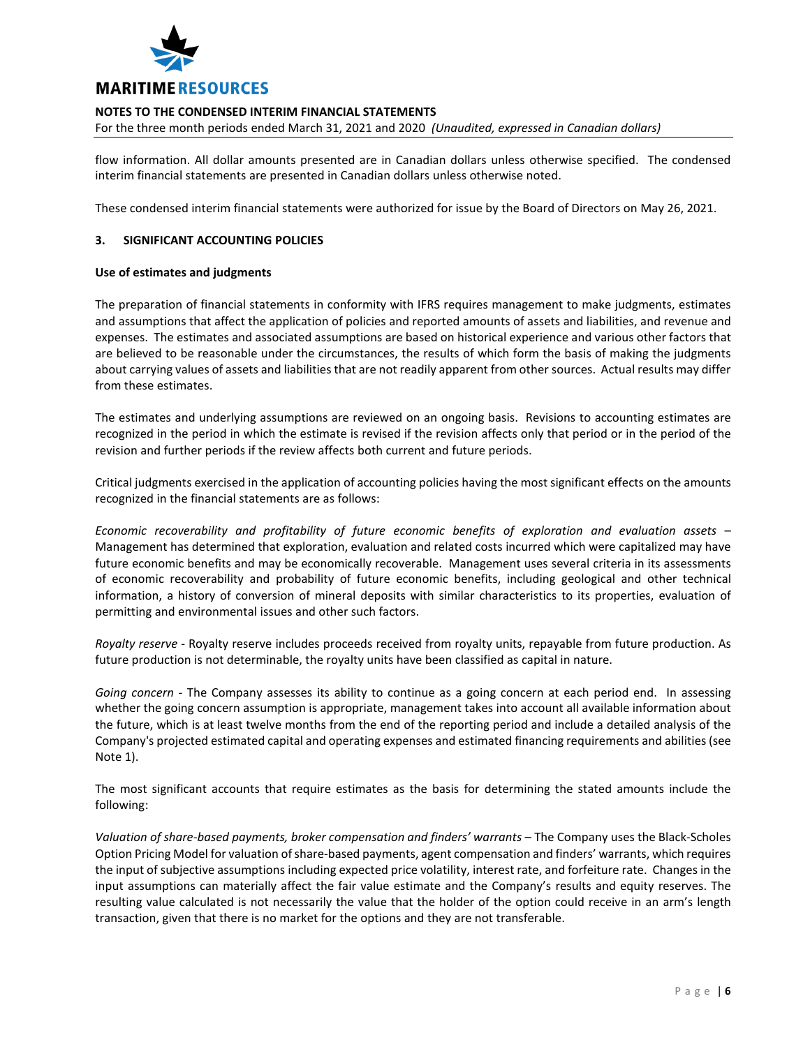

For the three month periods ended March 31, 2021 and 2020 *(Unaudited, expressed in Canadian dollars)*

flow information. All dollar amounts presented are in Canadian dollars unless otherwise specified. The condensed interim financial statements are presented in Canadian dollars unless otherwise noted.

These condensed interim financial statements were authorized for issue by the Board of Directors on May 26, 2021.

### **3. SIGNIFICANT ACCOUNTING POLICIES**

### **Use of estimates and judgments**

The preparation of financial statements in conformity with IFRS requires management to make judgments, estimates and assumptions that affect the application of policies and reported amounts of assets and liabilities, and revenue and expenses. The estimates and associated assumptions are based on historical experience and various other factors that are believed to be reasonable under the circumstances, the results of which form the basis of making the judgments about carrying values of assets and liabilities that are not readily apparent from other sources. Actual results may differ from these estimates.

The estimates and underlying assumptions are reviewed on an ongoing basis. Revisions to accounting estimates are recognized in the period in which the estimate is revised if the revision affects only that period or in the period of the revision and further periods if the review affects both current and future periods.

Critical judgments exercised in the application of accounting policies having the most significant effects on the amounts recognized in the financial statements are as follows:

*Economic recoverability and profitability of future economic benefits of exploration and evaluation assets* – Management has determined that exploration, evaluation and related costs incurred which were capitalized may have future economic benefits and may be economically recoverable. Management uses several criteria in its assessments of economic recoverability and probability of future economic benefits, including geological and other technical information, a history of conversion of mineral deposits with similar characteristics to its properties, evaluation of permitting and environmental issues and other such factors.

*Royalty reserve* - Royalty reserve includes proceeds received from royalty units, repayable from future production. As future production is not determinable, the royalty units have been classified as capital in nature.

*Going concern* - The Company assesses its ability to continue as a going concern at each period end. In assessing whether the going concern assumption is appropriate, management takes into account all available information about the future, which is at least twelve months from the end of the reporting period and include a detailed analysis of the Company's projected estimated capital and operating expenses and estimated financing requirements and abilities (see Note 1).

The most significant accounts that require estimates as the basis for determining the stated amounts include the following:

*Valuation of share-based payments, broker compensation and finders' warrants* – The Company uses the Black-Scholes Option Pricing Model for valuation of share-based payments, agent compensation and finders' warrants, which requires the input of subjective assumptions including expected price volatility, interest rate, and forfeiture rate. Changes in the input assumptions can materially affect the fair value estimate and the Company's results and equity reserves. The resulting value calculated is not necessarily the value that the holder of the option could receive in an arm's length transaction, given that there is no market for the options and they are not transferable.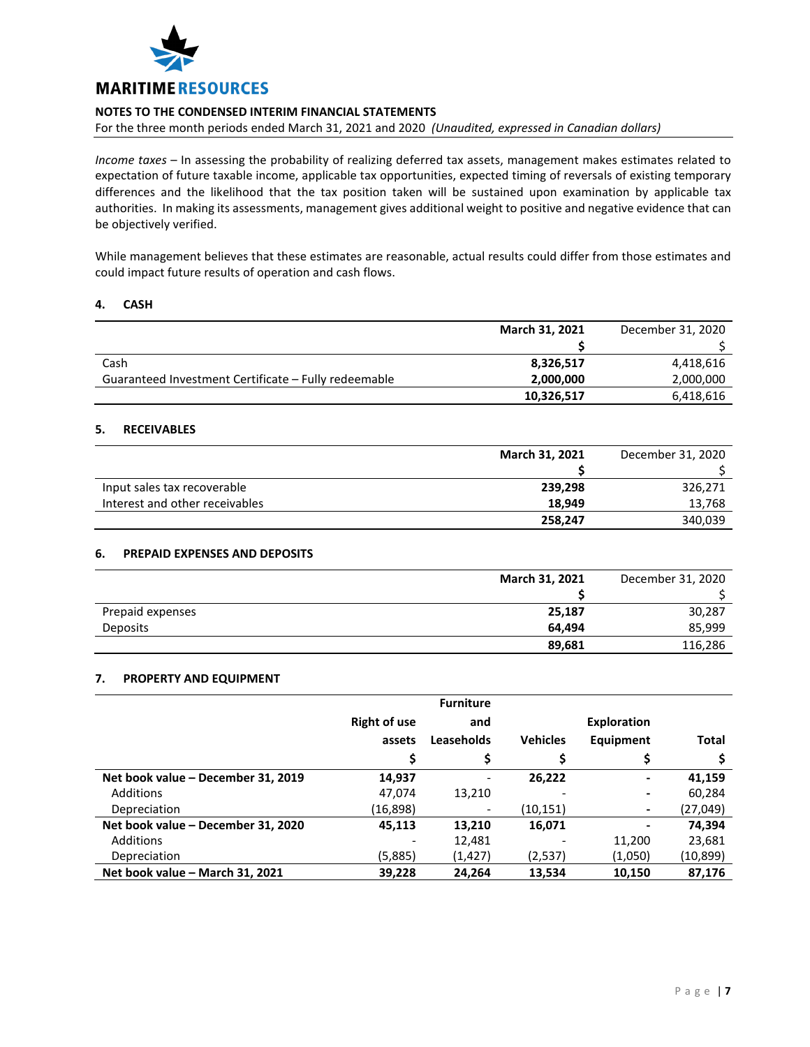

For the three month periods ended March 31, 2021 and 2020 *(Unaudited, expressed in Canadian dollars)*

*Income taxes* – In assessing the probability of realizing deferred tax assets, management makes estimates related to expectation of future taxable income, applicable tax opportunities, expected timing of reversals of existing temporary differences and the likelihood that the tax position taken will be sustained upon examination by applicable tax authorities. In making its assessments, management gives additional weight to positive and negative evidence that can be objectively verified.

While management believes that these estimates are reasonable, actual results could differ from those estimates and could impact future results of operation and cash flows.

### **4. CASH**

|                                                      | March 31, 2021 | December 31, 2020 |
|------------------------------------------------------|----------------|-------------------|
|                                                      |                |                   |
| Cash                                                 | 8,326,517      | 4,418,616         |
| Guaranteed Investment Certificate – Fully redeemable | 2,000,000      | 2,000,000         |
|                                                      | 10,326,517     | 6,418,616         |

### **5. RECEIVABLES**

|                                | March 31, 2021 | December 31, 2020 |
|--------------------------------|----------------|-------------------|
|                                |                |                   |
| Input sales tax recoverable    | 239,298        | 326,271           |
| Interest and other receivables | 18.949         | 13,768            |
|                                | 258,247        | 340,039           |

### **6. PREPAID EXPENSES AND DEPOSITS**

|                  | March 31, 2021 | December 31, 2020 |
|------------------|----------------|-------------------|
|                  |                |                   |
| Prepaid expenses | 25,187         | 30,287            |
| <b>Deposits</b>  | 64.494         | 85,999            |
|                  | 89,681         | 116,286           |

### **7. PROPERTY AND EQUIPMENT**

|                                    |                     | <b>Furniture</b>         |                 |                    |              |
|------------------------------------|---------------------|--------------------------|-----------------|--------------------|--------------|
|                                    | <b>Right of use</b> | and                      |                 | <b>Exploration</b> |              |
|                                    | assets              | Leaseholds               | <b>Vehicles</b> | Equipment          | <b>Total</b> |
|                                    |                     |                          |                 | Ş                  |              |
| Net book value - December 31, 2019 | 14,937              | $\overline{\phantom{0}}$ | 26.222          | ۰                  | 41,159       |
| <b>Additions</b>                   | 47,074              | 13,210                   |                 |                    | 60,284       |
| Depreciation                       | (16,898)            |                          | (10,151)        |                    | (27,049)     |
| Net book value - December 31, 2020 | 45,113              | 13,210                   | 16,071          |                    | 74.394       |
| Additions                          |                     | 12,481                   |                 | 11,200             | 23,681       |
| Depreciation                       | (5,885)             | (1,427)                  | (2,537)         | (1,050)            | (10, 899)    |
| Net book value - March 31, 2021    | 39,228              | 24.264                   | 13,534          | 10,150             | 87.176       |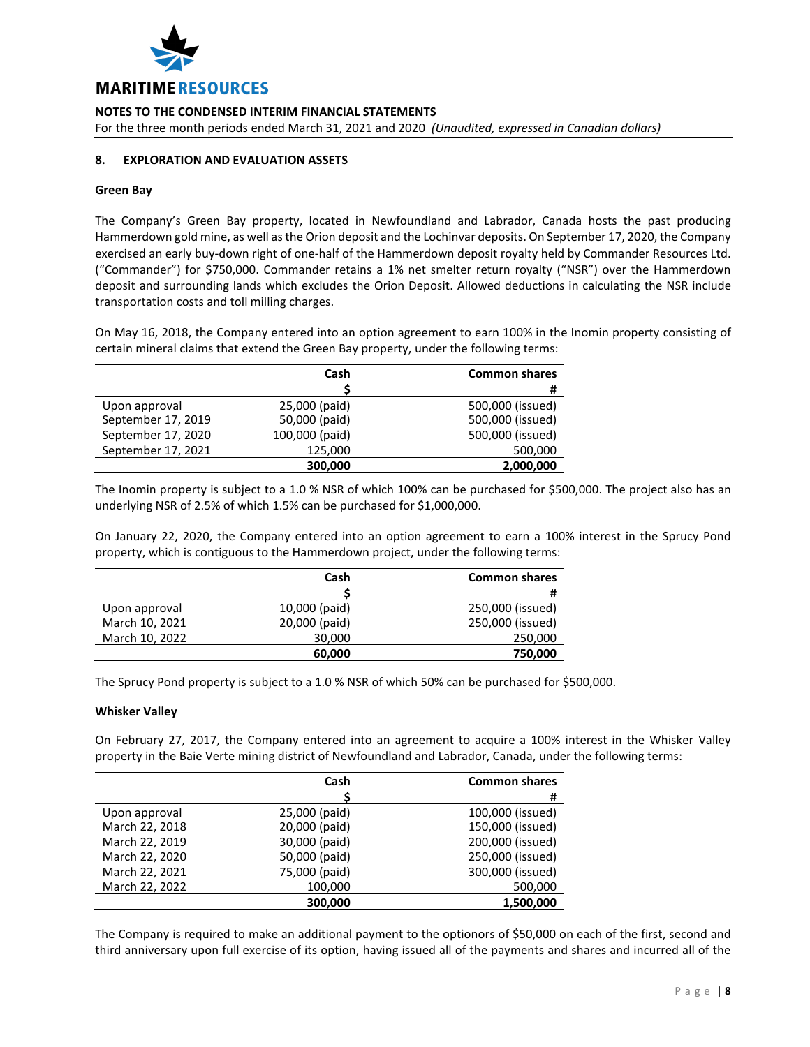

For the three month periods ended March 31, 2021 and 2020 *(Unaudited, expressed in Canadian dollars)*

## **8. EXPLORATION AND EVALUATION ASSETS**

#### **Green Bay**

The Company's Green Bay property, located in Newfoundland and Labrador, Canada hosts the past producing Hammerdown gold mine, as well as the Orion deposit and the Lochinvar deposits. On September 17, 2020, the Company exercised an early buy-down right of one-half of the Hammerdown deposit royalty held by Commander Resources Ltd. ("Commander") for \$750,000. Commander retains a 1% net smelter return royalty ("NSR") over the Hammerdown deposit and surrounding lands which excludes the Orion Deposit. Allowed deductions in calculating the NSR include transportation costs and toll milling charges.

On May 16, 2018, the Company entered into an option agreement to earn 100% in the Inomin property consisting of certain mineral claims that extend the Green Bay property, under the following terms:

|                    | Cash           | <b>Common shares</b> |
|--------------------|----------------|----------------------|
|                    |                | #                    |
| Upon approval      | 25,000 (paid)  | 500,000 (issued)     |
| September 17, 2019 | 50,000 (paid)  | 500,000 (issued)     |
| September 17, 2020 | 100,000 (paid) | 500,000 (issued)     |
| September 17, 2021 | 125,000        | 500,000              |
|                    | 300,000        | 2,000,000            |

The Inomin property is subject to a 1.0 % NSR of which 100% can be purchased for \$500,000. The project also has an underlying NSR of 2.5% of which 1.5% can be purchased for \$1,000,000.

On January 22, 2020, the Company entered into an option agreement to earn a 100% interest in the Sprucy Pond property, which is contiguous to the Hammerdown project, under the following terms:

|                | Cash          | <b>Common shares</b> |
|----------------|---------------|----------------------|
|                |               | #                    |
| Upon approval  | 10,000 (paid) | 250,000 (issued)     |
| March 10, 2021 | 20,000 (paid) | 250,000 (issued)     |
| March 10, 2022 | 30,000        | 250,000              |
|                | 60,000        | 750,000              |

The Sprucy Pond property is subject to a 1.0 % NSR of which 50% can be purchased for \$500,000.

### **Whisker Valley**

On February 27, 2017, the Company entered into an agreement to acquire a 100% interest in the Whisker Valley property in the Baie Verte mining district of Newfoundland and Labrador, Canada, under the following terms:

|                | Cash          | <b>Common shares</b> |
|----------------|---------------|----------------------|
|                |               | #                    |
| Upon approval  | 25,000 (paid) | 100,000 (issued)     |
| March 22, 2018 | 20,000 (paid) | 150,000 (issued)     |
| March 22, 2019 | 30,000 (paid) | 200,000 (issued)     |
| March 22, 2020 | 50,000 (paid) | 250,000 (issued)     |
| March 22, 2021 | 75,000 (paid) | 300,000 (issued)     |
| March 22, 2022 | 100,000       | 500,000              |
|                | 300.000       | 1,500,000            |

The Company is required to make an additional payment to the optionors of \$50,000 on each of the first, second and third anniversary upon full exercise of its option, having issued all of the payments and shares and incurred all of the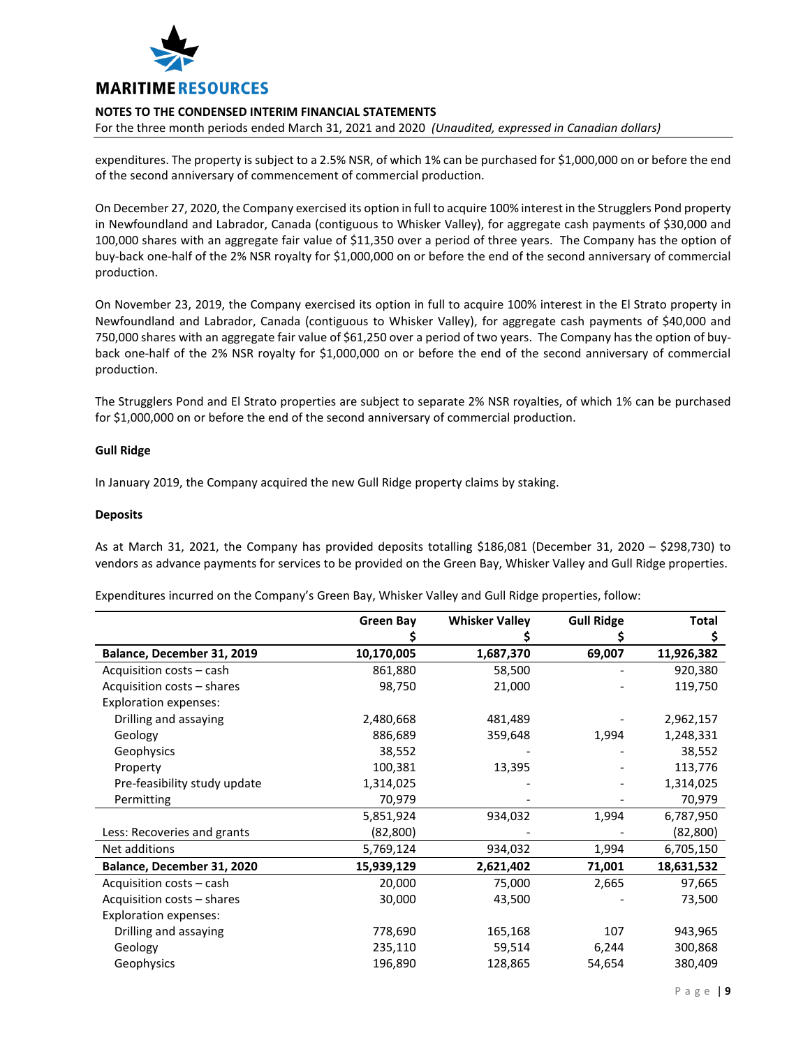

For the three month periods ended March 31, 2021 and 2020 *(Unaudited, expressed in Canadian dollars)*

expenditures. The property is subject to a 2.5% NSR, of which 1% can be purchased for \$1,000,000 on or before the end of the second anniversary of commencement of commercial production.

On December 27, 2020, the Company exercised its option in full to acquire 100% interest in the Strugglers Pond property in Newfoundland and Labrador, Canada (contiguous to Whisker Valley), for aggregate cash payments of \$30,000 and 100,000 shares with an aggregate fair value of \$11,350 over a period of three years. The Company has the option of buy-back one-half of the 2% NSR royalty for \$1,000,000 on or before the end of the second anniversary of commercial production.

On November 23, 2019, the Company exercised its option in full to acquire 100% interest in the El Strato property in Newfoundland and Labrador, Canada (contiguous to Whisker Valley), for aggregate cash payments of \$40,000 and 750,000 shares with an aggregate fair value of \$61,250 over a period of two years. The Company has the option of buyback one-half of the 2% NSR royalty for \$1,000,000 on or before the end of the second anniversary of commercial production.

The Strugglers Pond and El Strato properties are subject to separate 2% NSR royalties, of which 1% can be purchased for \$1,000,000 on or before the end of the second anniversary of commercial production.

### **Gull Ridge**

In January 2019, the Company acquired the new Gull Ridge property claims by staking.

#### **Deposits**

As at March 31, 2021, the Company has provided deposits totalling \$186,081 (December 31, 2020 – \$298,730) to vendors as advance payments for services to be provided on the Green Bay, Whisker Valley and Gull Ridge properties.

Expenditures incurred on the Company's Green Bay, Whisker Valley and Gull Ridge properties, follow:

|                              | <b>Green Bay</b> | <b>Whisker Valley</b> | <b>Gull Ridge</b> | <b>Total</b> |
|------------------------------|------------------|-----------------------|-------------------|--------------|
|                              |                  |                       |                   | Ş            |
| Balance, December 31, 2019   | 10,170,005       | 1,687,370             | 69,007            | 11,926,382   |
| Acquisition costs - cash     | 861,880          | 58,500                |                   | 920,380      |
| Acquisition costs - shares   | 98,750           | 21,000                |                   | 119,750      |
| <b>Exploration expenses:</b> |                  |                       |                   |              |
| Drilling and assaying        | 2,480,668        | 481,489               |                   | 2,962,157    |
| Geology                      | 886,689          | 359,648               | 1,994             | 1,248,331    |
| Geophysics                   | 38,552           |                       |                   | 38,552       |
| Property                     | 100,381          | 13,395                |                   | 113,776      |
| Pre-feasibility study update | 1,314,025        |                       |                   | 1,314,025    |
| Permitting                   | 70,979           |                       |                   | 70,979       |
|                              | 5,851,924        | 934,032               | 1,994             | 6,787,950    |
| Less: Recoveries and grants  | (82, 800)        |                       |                   | (82, 800)    |
| Net additions                | 5,769,124        | 934,032               | 1,994             | 6,705,150    |
| Balance, December 31, 2020   | 15,939,129       | 2,621,402             | 71,001            | 18,631,532   |
| Acquisition costs - cash     | 20,000           | 75,000                | 2,665             | 97,665       |
| Acquisition costs - shares   | 30,000           | 43,500                |                   | 73,500       |
| <b>Exploration expenses:</b> |                  |                       |                   |              |
| Drilling and assaying        | 778,690          | 165,168               | 107               | 943,965      |
| Geology                      | 235,110          | 59,514                | 6,244             | 300,868      |
| Geophysics                   | 196,890          | 128,865               | 54,654            | 380,409      |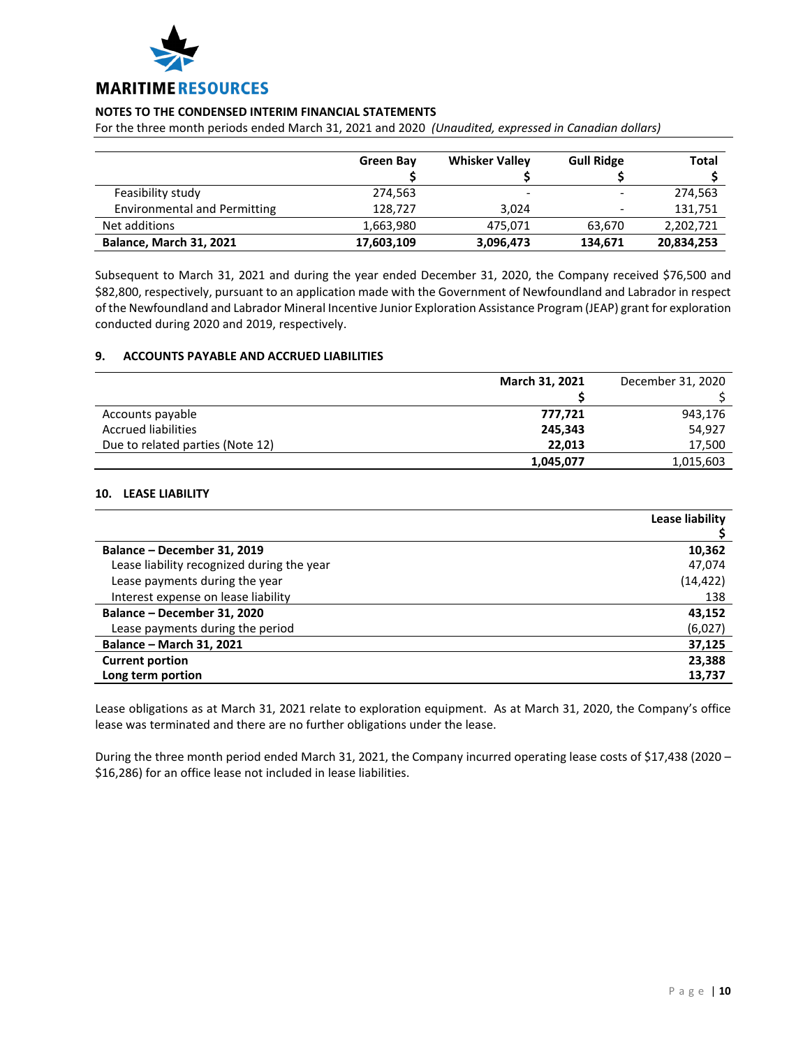

For the three month periods ended March 31, 2021 and 2020 *(Unaudited, expressed in Canadian dollars)*

|                                     | <b>Green Bay</b> | <b>Whisker Valley</b> | <b>Gull Ridge</b>        | <b>Total</b> |
|-------------------------------------|------------------|-----------------------|--------------------------|--------------|
| Feasibility study                   | 274,563          |                       |                          | 274,563      |
| <b>Environmental and Permitting</b> | 128.727          | 3.024                 | $\overline{\phantom{0}}$ | 131,751      |
| Net additions                       | 1,663,980        | 475,071               | 63,670                   | 2,202,721    |
| Balance, March 31, 2021             | 17,603,109       | 3,096,473             | 134,671                  | 20,834,253   |

Subsequent to March 31, 2021 and during the year ended December 31, 2020, the Company received \$76,500 and \$82,800, respectively, pursuant to an application made with the Government of Newfoundland and Labrador in respect of the Newfoundland and Labrador Mineral Incentive Junior Exploration Assistance Program (JEAP) grant for exploration conducted during 2020 and 2019, respectively.

### **9. ACCOUNTS PAYABLE AND ACCRUED LIABILITIES**

|                                  | March 31, 2021 | December 31, 2020 |
|----------------------------------|----------------|-------------------|
|                                  |                |                   |
| Accounts payable                 | 777,721        | 943,176           |
| <b>Accrued liabilities</b>       | 245,343        | 54,927            |
| Due to related parties (Note 12) | 22.013         | 17,500            |
|                                  | 1,045,077      | 1,015,603         |

# **10. LEASE LIABILITY**

|                                            | Lease liability |
|--------------------------------------------|-----------------|
|                                            |                 |
| Balance - December 31, 2019                | 10,362          |
| Lease liability recognized during the year | 47,074          |
| Lease payments during the year             | (14, 422)       |
| Interest expense on lease liability        | 138             |
| Balance - December 31, 2020                | 43,152          |
| Lease payments during the period           | (6,027)         |
| Balance - March 31, 2021                   | 37,125          |
| <b>Current portion</b>                     | 23,388          |
| Long term portion                          | 13,737          |

Lease obligations as at March 31, 2021 relate to exploration equipment. As at March 31, 2020, the Company's office lease was terminated and there are no further obligations under the lease.

During the three month period ended March 31, 2021, the Company incurred operating lease costs of \$17,438 (2020 – \$16,286) for an office lease not included in lease liabilities.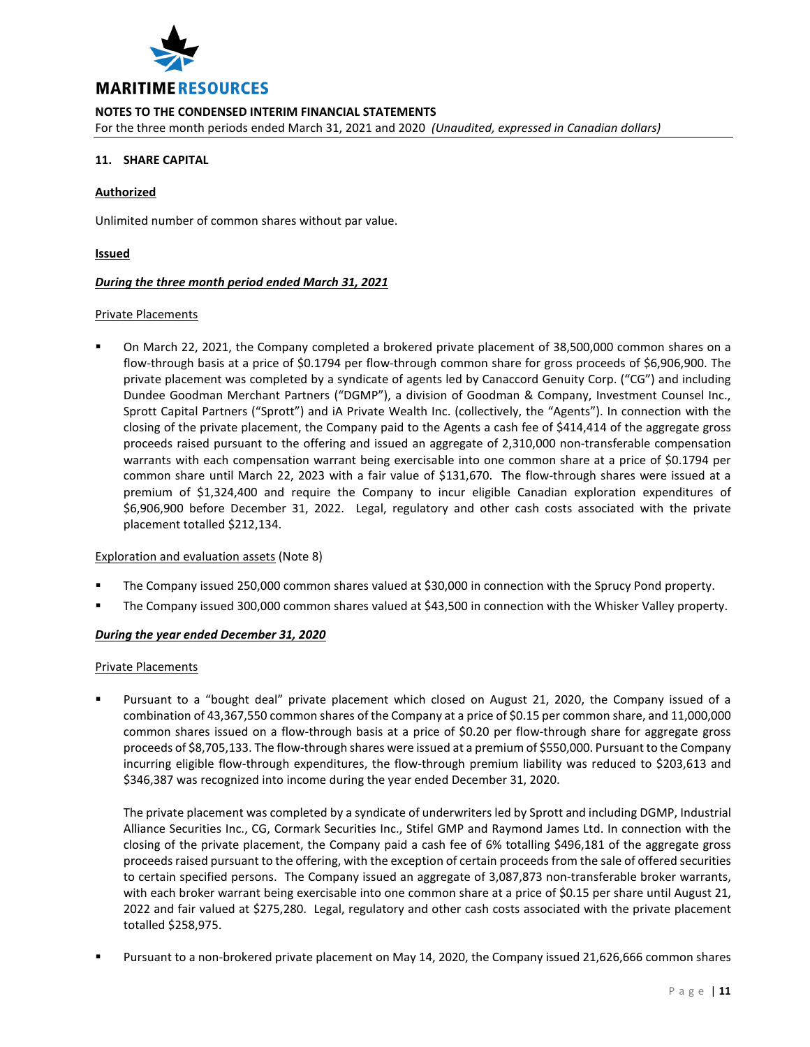

For the three month periods ended March 31, 2021 and 2020 *(Unaudited, expressed in Canadian dollars)*

## **11. SHARE CAPITAL**

### **Authorized**

Unlimited number of common shares without par value.

### **Issued**

### *During the three month period ended March 31, 2021*

#### Private Placements

 On March 22, 2021, the Company completed a brokered private placement of 38,500,000 common shares on a flow-through basis at a price of \$0.1794 per flow-through common share for gross proceeds of \$6,906,900. The private placement was completed by a syndicate of agents led by Canaccord Genuity Corp. ("CG") and including Dundee Goodman Merchant Partners ("DGMP"), a division of Goodman & Company, Investment Counsel Inc., Sprott Capital Partners ("Sprott") and iA Private Wealth Inc. (collectively, the "Agents"). In connection with the closing of the private placement, the Company paid to the Agents a cash fee of \$414,414 of the aggregate gross proceeds raised pursuant to the offering and issued an aggregate of 2,310,000 non-transferable compensation warrants with each compensation warrant being exercisable into one common share at a price of \$0.1794 per common share until March 22, 2023 with a fair value of \$131,670. The flow-through shares were issued at a premium of \$1,324,400 and require the Company to incur eligible Canadian exploration expenditures of \$6,906,900 before December 31, 2022. Legal, regulatory and other cash costs associated with the private placement totalled \$212,134.

### Exploration and evaluation assets (Note 8)

- The Company issued 250,000 common shares valued at \$30,000 in connection with the Sprucy Pond property.
- The Company issued 300,000 common shares valued at \$43,500 in connection with the Whisker Valley property.

### *During the year ended December 31, 2020*

### Private Placements

 Pursuant to a "bought deal" private placement which closed on August 21, 2020, the Company issued of a combination of 43,367,550 common shares of the Company at a price of \$0.15 per common share, and 11,000,000 common shares issued on a flow-through basis at a price of \$0.20 per flow-through share for aggregate gross proceeds of \$8,705,133. The flow-through shares were issued at a premium of \$550,000. Pursuant to the Company incurring eligible flow-through expenditures, the flow-through premium liability was reduced to \$203,613 and \$346,387 was recognized into income during the year ended December 31, 2020.

The private placement was completed by a syndicate of underwriters led by Sprott and including DGMP, Industrial Alliance Securities Inc., CG, Cormark Securities Inc., Stifel GMP and Raymond James Ltd. In connection with the closing of the private placement, the Company paid a cash fee of 6% totalling \$496,181 of the aggregate gross proceeds raised pursuant to the offering, with the exception of certain proceeds from the sale of offered securities to certain specified persons. The Company issued an aggregate of 3,087,873 non-transferable broker warrants, with each broker warrant being exercisable into one common share at a price of \$0.15 per share until August 21, 2022 and fair valued at \$275,280. Legal, regulatory and other cash costs associated with the private placement totalled \$258,975.

Pursuant to a non-brokered private placement on May 14, 2020, the Company issued 21,626,666 common shares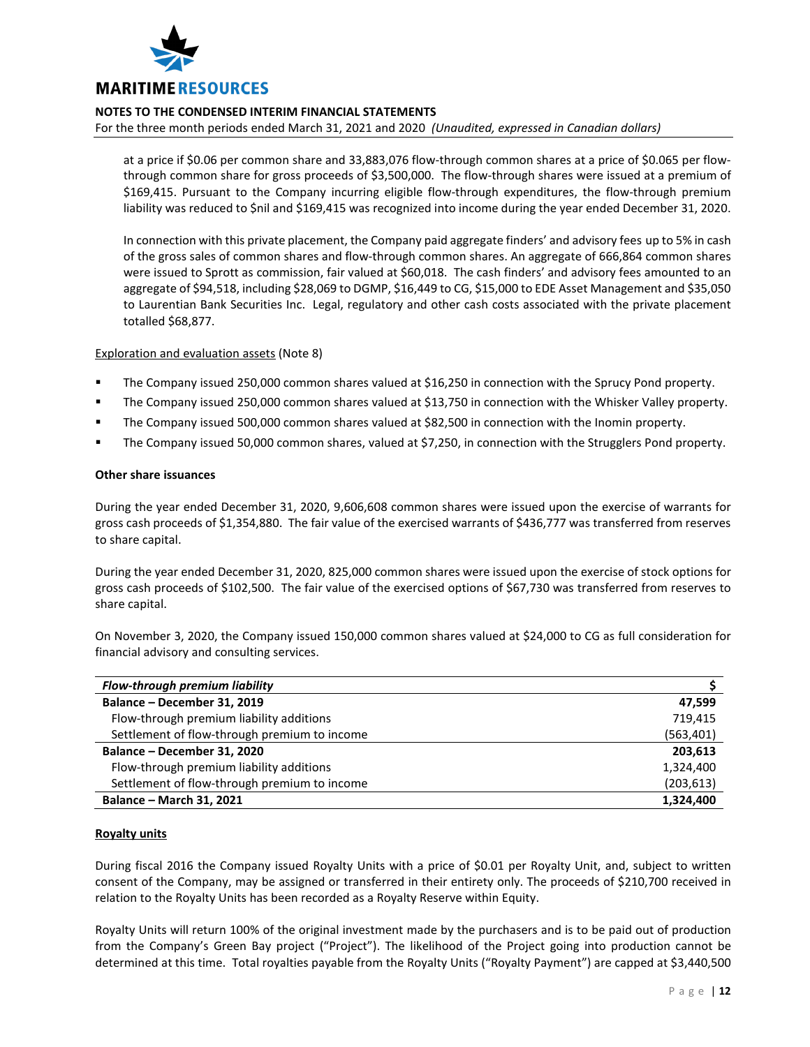

For the three month periods ended March 31, 2021 and 2020 *(Unaudited, expressed in Canadian dollars)*

at a price if \$0.06 per common share and 33,883,076 flow-through common shares at a price of \$0.065 per flowthrough common share for gross proceeds of \$3,500,000. The flow-through shares were issued at a premium of \$169,415. Pursuant to the Company incurring eligible flow-through expenditures, the flow-through premium liability was reduced to \$nil and \$169,415 was recognized into income during the year ended December 31, 2020.

In connection with this private placement, the Company paid aggregate finders' and advisory fees up to 5% in cash of the gross sales of common shares and flow-through common shares. An aggregate of 666,864 common shares were issued to Sprott as commission, fair valued at \$60,018. The cash finders' and advisory fees amounted to an aggregate of \$94,518, including \$28,069 to DGMP, \$16,449 to CG, \$15,000 to EDE Asset Management and \$35,050 to Laurentian Bank Securities Inc. Legal, regulatory and other cash costs associated with the private placement totalled \$68,877.

### Exploration and evaluation assets (Note 8)

- The Company issued 250,000 common shares valued at \$16,250 in connection with the Sprucy Pond property.
- The Company issued 250,000 common shares valued at \$13,750 in connection with the Whisker Valley property.
- The Company issued 500,000 common shares valued at \$82,500 in connection with the Inomin property.
- The Company issued 50,000 common shares, valued at \$7,250, in connection with the Strugglers Pond property.

### **Other share issuances**

During the year ended December 31, 2020, 9,606,608 common shares were issued upon the exercise of warrants for gross cash proceeds of \$1,354,880. The fair value of the exercised warrants of \$436,777 was transferred from reserves to share capital.

During the year ended December 31, 2020, 825,000 common shares were issued upon the exercise of stock options for gross cash proceeds of \$102,500. The fair value of the exercised options of \$67,730 was transferred from reserves to share capital.

On November 3, 2020, the Company issued 150,000 common shares valued at \$24,000 to CG as full consideration for financial advisory and consulting services.

| <b>Flow-through premium liability</b>        |            |
|----------------------------------------------|------------|
| Balance - December 31, 2019                  | 47.599     |
| Flow-through premium liability additions     | 719.415    |
| Settlement of flow-through premium to income | (563, 401) |
| Balance - December 31, 2020                  | 203,613    |
| Flow-through premium liability additions     | 1,324,400  |
| Settlement of flow-through premium to income | (203, 613) |
| <b>Balance - March 31, 2021</b>              | 1,324,400  |

### **Royalty units**

During fiscal 2016 the Company issued Royalty Units with a price of \$0.01 per Royalty Unit, and, subject to written consent of the Company, may be assigned or transferred in their entirety only. The proceeds of \$210,700 received in relation to the Royalty Units has been recorded as a Royalty Reserve within Equity.

Royalty Units will return 100% of the original investment made by the purchasers and is to be paid out of production from the Company's Green Bay project ("Project"). The likelihood of the Project going into production cannot be determined at this time. Total royalties payable from the Royalty Units ("Royalty Payment") are capped at \$3,440,500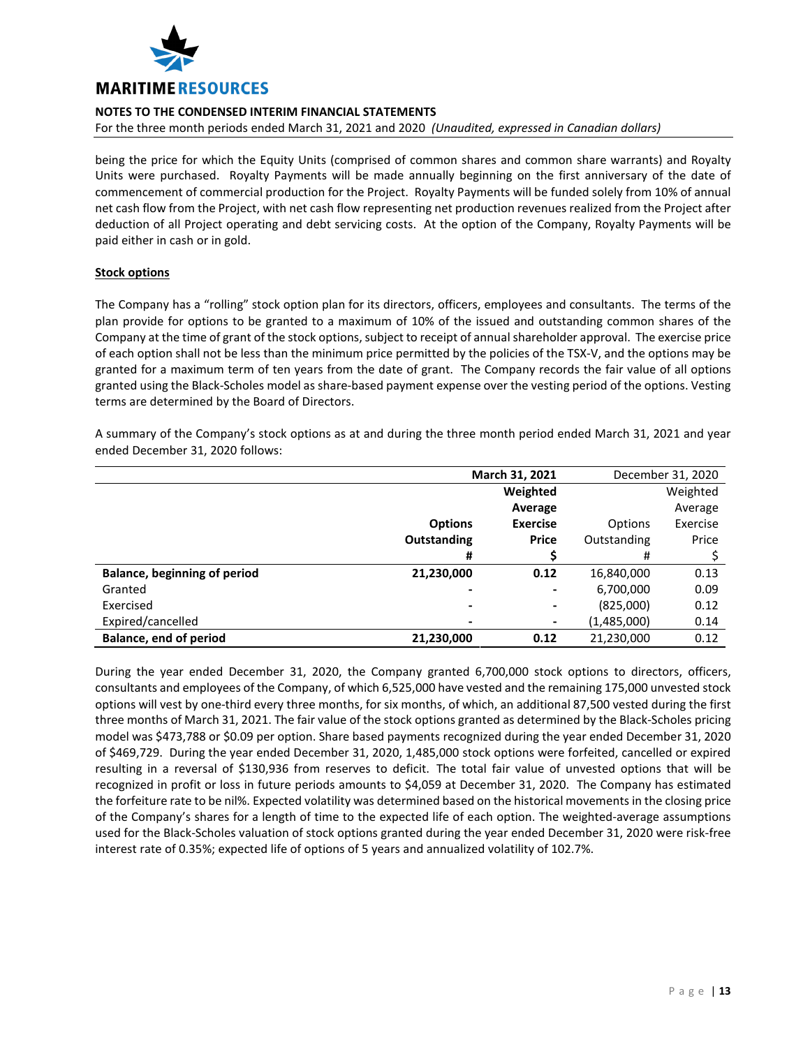

For the three month periods ended March 31, 2021 and 2020 *(Unaudited, expressed in Canadian dollars)*

being the price for which the Equity Units (comprised of common shares and common share warrants) and Royalty Units were purchased. Royalty Payments will be made annually beginning on the first anniversary of the date of commencement of commercial production for the Project. Royalty Payments will be funded solely from 10% of annual net cash flow from the Project, with net cash flow representing net production revenues realized from the Project after deduction of all Project operating and debt servicing costs. At the option of the Company, Royalty Payments will be paid either in cash or in gold.

### **Stock options**

The Company has a "rolling" stock option plan for its directors, officers, employees and consultants. The terms of the plan provide for options to be granted to a maximum of 10% of the issued and outstanding common shares of the Company at the time of grant of the stock options, subject to receipt of annual shareholder approval. The exercise price of each option shall not be less than the minimum price permitted by the policies of the TSX-V, and the options may be granted for a maximum term of ten years from the date of grant. The Company records the fair value of all options granted using the Black-Scholes model as share-based payment expense over the vesting period of the options. Vesting terms are determined by the Board of Directors.

A summary of the Company's stock options as at and during the three month period ended March 31, 2021 and year ended December 31, 2020 follows:

|                                     | March 31, 2021           |                 |             | December 31, 2020 |
|-------------------------------------|--------------------------|-----------------|-------------|-------------------|
|                                     |                          | Weighted        |             | Weighted          |
|                                     |                          | Average         |             | Average           |
|                                     | <b>Options</b>           | <b>Exercise</b> | Options     | Exercise          |
|                                     | <b>Outstanding</b>       | <b>Price</b>    | Outstanding | Price             |
|                                     | #                        |                 | #           |                   |
| <b>Balance, beginning of period</b> | 21,230,000               | 0.12            | 16,840,000  | 0.13              |
| Granted                             | $\overline{\phantom{a}}$ | $\blacksquare$  | 6,700,000   | 0.09              |
| Exercised                           | $\,$                     | $\blacksquare$  | (825,000)   | 0.12              |
| Expired/cancelled                   |                          | $\blacksquare$  | (1,485,000) | 0.14              |
| <b>Balance, end of period</b>       | 21,230,000               | 0.12            | 21,230,000  | 0.12              |

During the year ended December 31, 2020, the Company granted 6,700,000 stock options to directors, officers, consultants and employees of the Company, of which 6,525,000 have vested and the remaining 175,000 unvested stock options will vest by one-third every three months, for six months, of which, an additional 87,500 vested during the first three months of March 31, 2021. The fair value of the stock options granted as determined by the Black-Scholes pricing model was \$473,788 or \$0.09 per option. Share based payments recognized during the year ended December 31, 2020 of \$469,729. During the year ended December 31, 2020, 1,485,000 stock options were forfeited, cancelled or expired resulting in a reversal of \$130,936 from reserves to deficit. The total fair value of unvested options that will be recognized in profit or loss in future periods amounts to \$4,059 at December 31, 2020. The Company has estimated the forfeiture rate to be nil%. Expected volatility was determined based on the historical movements in the closing price of the Company's shares for a length of time to the expected life of each option. The weighted-average assumptions used for the Black-Scholes valuation of stock options granted during the year ended December 31, 2020 were risk-free interest rate of 0.35%; expected life of options of 5 years and annualized volatility of 102.7%.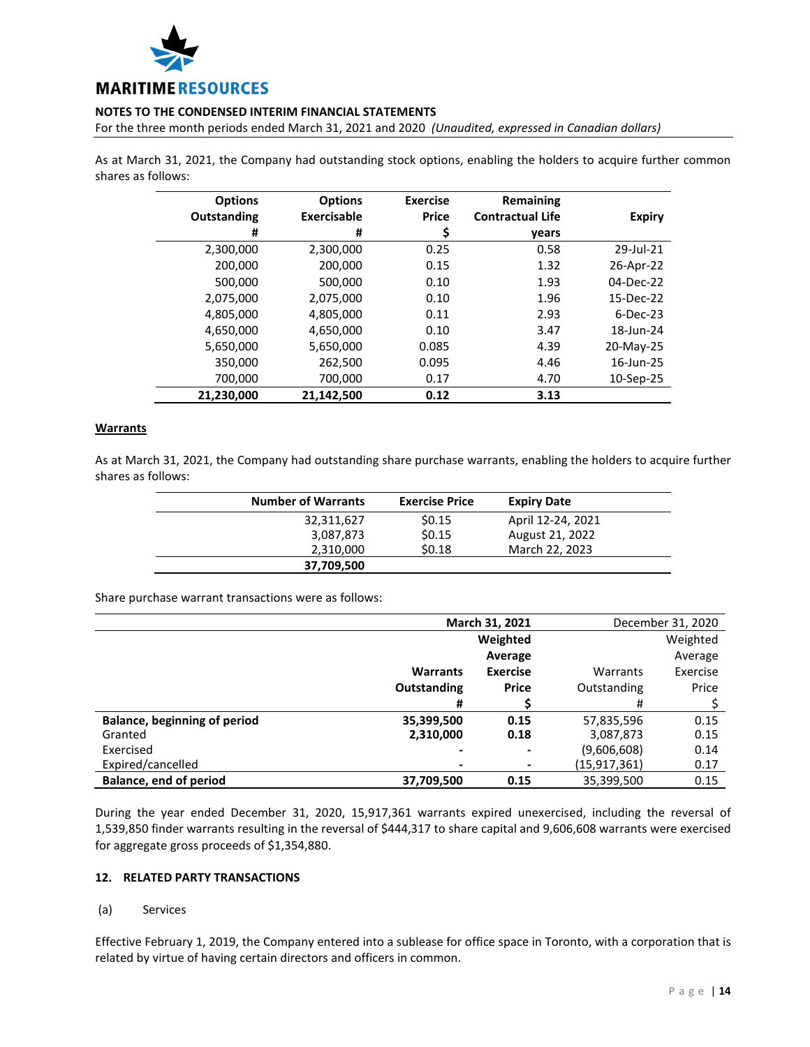

For the three month periods ended March 31, 2021 and 2020 *(Unaudited, expressed in Canadian dollars)*

As at March 31, 2021, the Company had outstanding stock options, enabling the holders to acquire further common shares as follows:

| <b>Options</b> | <b>Options</b>     | <b>Exercise</b> | Remaining               |               |
|----------------|--------------------|-----------------|-------------------------|---------------|
| Outstanding    | <b>Exercisable</b> | <b>Price</b>    | <b>Contractual Life</b> | <b>Expiry</b> |
| #              | #                  | \$              | years                   |               |
| 2,300,000      | 2,300,000          | 0.25            | 0.58                    | 29-Jul-21     |
| 200,000        | 200,000            | 0.15            | 1.32                    | 26-Apr-22     |
| 500,000        | 500,000            | 0.10            | 1.93                    | 04-Dec-22     |
| 2,075,000      | 2,075,000          | 0.10            | 1.96                    | 15-Dec-22     |
| 4,805,000      | 4,805,000          | 0.11            | 2.93                    | $6$ -Dec-23   |
| 4,650,000      | 4,650,000          | 0.10            | 3.47                    | 18-Jun-24     |
| 5,650,000      | 5,650,000          | 0.085           | 4.39                    | 20-May-25     |
| 350,000        | 262,500            | 0.095           | 4.46                    | 16-Jun-25     |
| 700,000        | 700,000            | 0.17            | 4.70                    | 10-Sep-25     |
| 21,230,000     | 21.142.500         | 0.12            | 3.13                    |               |

### **Warrants**

As at March 31, 2021, the Company had outstanding share purchase warrants, enabling the holders to acquire further shares as follows:

| <b>Number of Warrants</b> | <b>Exercise Price</b> | <b>Expiry Date</b> |  |
|---------------------------|-----------------------|--------------------|--|
| 32,311,627                | \$0.15                | April 12-24, 2021  |  |
| 3,087,873                 | \$0.15                | August 21, 2022    |  |
| 2,310,000                 | \$0.18                | March 22, 2023     |  |
| 37,709,500                |                       |                    |  |

Share purchase warrant transactions were as follows:

|                                     | March 31, 2021  |                          |                | December 31, 2020 |
|-------------------------------------|-----------------|--------------------------|----------------|-------------------|
|                                     |                 | Weighted                 |                | Weighted          |
|                                     |                 | Average                  |                | Average           |
|                                     | <b>Warrants</b> | <b>Exercise</b>          | Warrants       | Exercise          |
|                                     | Outstanding     | <b>Price</b>             | Outstanding    | Price             |
|                                     | #               |                          | #              |                   |
| <b>Balance, beginning of period</b> | 35,399,500      | 0.15                     | 57,835,596     | 0.15              |
| Granted                             | 2,310,000       | 0.18                     | 3,087,873      | 0.15              |
| Exercised                           | -               | $\blacksquare$           | (9,606,608)    | 0.14              |
| Expired/cancelled                   |                 | $\overline{\phantom{a}}$ | (15, 917, 361) | 0.17              |
| Balance, end of period              | 37,709,500      | 0.15                     | 35,399,500     | 0.15              |

During the year ended December 31, 2020, 15,917,361 warrants expired unexercised, including the reversal of 1,539,850 finder warrants resulting in the reversal of \$444,317 to share capital and 9,606,608 warrants were exercised for aggregate gross proceeds of \$1,354,880.

### **12. RELATED PARTY TRANSACTIONS**

### (a) Services

Effective February 1, 2019, the Company entered into a sublease for office space in Toronto, with a corporation that is related by virtue of having certain directors and officers in common.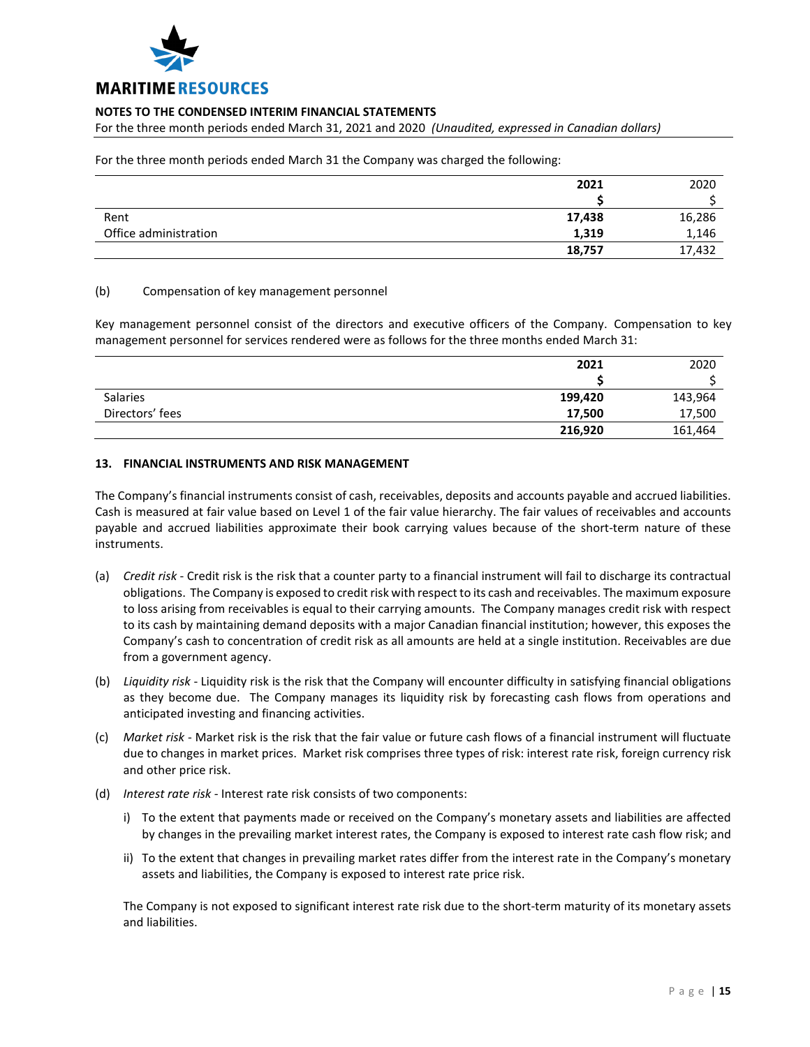

For the three month periods ended March 31, 2021 and 2020 *(Unaudited, expressed in Canadian dollars)*

For the three month periods ended March 31 the Company was charged the following:

|                       | 2021   | 2020   |
|-----------------------|--------|--------|
|                       |        |        |
| Rent                  | 17,438 | 16,286 |
| Office administration | 1,319  | 1,146  |
|                       | 18,757 | 17,432 |

### (b) Compensation of key management personnel

Key management personnel consist of the directors and executive officers of the Company. Compensation to key management personnel for services rendered were as follows for the three months ended March 31:

|                 | 2021    | 2020    |
|-----------------|---------|---------|
|                 |         |         |
| <b>Salaries</b> | 199,420 | 143,964 |
| Directors' fees | 17,500  | 17,500  |
|                 | 216,920 | 161,464 |

### **13. FINANCIAL INSTRUMENTS AND RISK MANAGEMENT**

The Company's financial instruments consist of cash, receivables, deposits and accounts payable and accrued liabilities. Cash is measured at fair value based on Level 1 of the fair value hierarchy. The fair values of receivables and accounts payable and accrued liabilities approximate their book carrying values because of the short-term nature of these instruments.

- (a) *Credit risk* Credit risk is the risk that a counter party to a financial instrument will fail to discharge its contractual obligations. The Company is exposed to credit risk with respect to its cash and receivables. The maximum exposure to loss arising from receivables is equal to their carrying amounts. The Company manages credit risk with respect to its cash by maintaining demand deposits with a major Canadian financial institution; however, this exposes the Company's cash to concentration of credit risk as all amounts are held at a single institution. Receivables are due from a government agency.
- (b) *Liquidity risk* Liquidity risk is the risk that the Company will encounter difficulty in satisfying financial obligations as they become due. The Company manages its liquidity risk by forecasting cash flows from operations and anticipated investing and financing activities.
- (c) *Market risk* Market risk is the risk that the fair value or future cash flows of a financial instrument will fluctuate due to changes in market prices. Market risk comprises three types of risk: interest rate risk, foreign currency risk and other price risk.
- (d) *Interest rate risk* Interest rate risk consists of two components:
	- i) To the extent that payments made or received on the Company's monetary assets and liabilities are affected by changes in the prevailing market interest rates, the Company is exposed to interest rate cash flow risk; and
	- ii) To the extent that changes in prevailing market rates differ from the interest rate in the Company's monetary assets and liabilities, the Company is exposed to interest rate price risk.

The Company is not exposed to significant interest rate risk due to the short-term maturity of its monetary assets and liabilities.